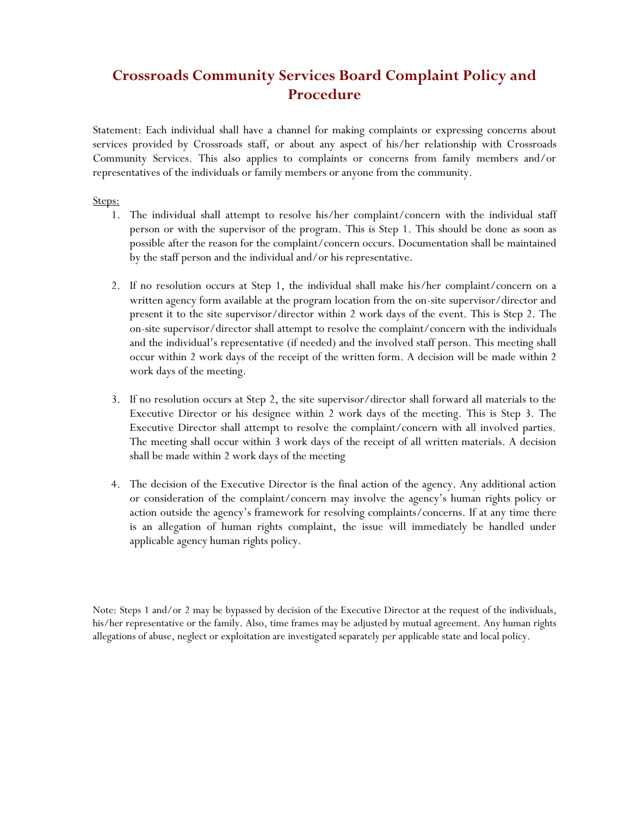## **Crossroads Community Services Board Complaint Policy and Procedure**

Statement: Each individual shall have a channel for making complaints or expressing concerns about services provided by Crossroads staff, or about any aspect of his/her relationship with Crossroads Community Services. This also applies to complaints or concerns from family members and/or representatives of the individuals or family members or anyone from the community.

## Steps:

- 1. The individual shall attempt to resolve his/her complaint/concern with the individual staff person or with the supervisor of the program. This is Step 1. This should be done as soon as possible after the reason for the complaint/concern occurs. Documentation shall be maintained by the staff person and the individual and/or his representative.
- 2. If no resolution occurs at Step 1, the individual shall make his/her complaint/concern on a written agency form available at the program location from the on-site supervisor/director and present it to the site supervisor/director within 2 work days of the event. This is Step 2. The on-site supervisor/director shall attempt to resolve the complaint/concern with the individuals and the individual's representative (if needed) and the involved staff person. This meeting shall occur within 2 work days of the receipt of the written form. A decision will be made within 2 work days of the meeting.
- 3. If no resolution occurs at Step 2, the site supervisor/director shall forward all materials to the Executive Director or his designee within 2 work days of the meeting. This is Step 3. The Executive Director shall attempt to resolve the complaint/concern with all involved parties. The meeting shall occur within 3 work days of the receipt of all written materials. A decision shall be made within 2 work days of the meeting
- 4. The decision of the Executive Director is the final action of the agency. Any additional action or consideration of the complaint/concern may involve the agency's human rights policy or action outside the agency's framework for resolving complaints/concerns. If at any time there is an allegation of human rights complaint, the issue will immediately be handled under applicable agency human rights policy.

Note: Steps 1 and/or 2 may be bypassed by decision of the Executive Director at the request of the individuals, his/her representative or the family. Also, time frames may be adjusted by mutual agreement. Any human rights allegations of abuse, neglect or exploitation are investigated separately per applicable state and local policy.